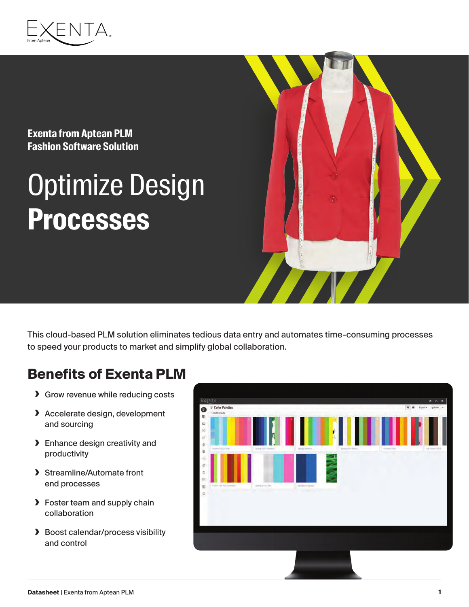

**Exenta from Aptean PLM Fashion Software Solution**

# Optimize Design **Processes**



#### **Benefits of Exenta PLM**

- **›** Grow revenue while reducing costs
- **›** Accelerate design, development and sourcing
- **›** Enhance design creativity and productivity
- **›** Streamline/Automate front end processes
- **›** Foster team and supply chain collaboration
- **›** Boost calendar/process visibility and control

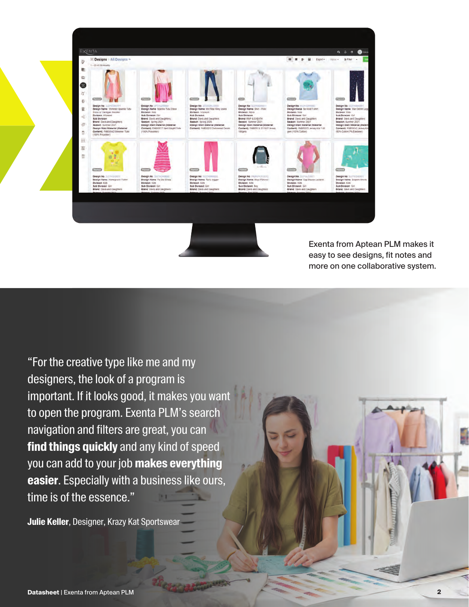

Exenta from Aptean PLM makes it easy to see designs, fit notes and more on one collaborative system.

"For the creative type like me and my designers, the look of a program is important. If it looks good, it makes you want to open the program. Exenta PLM's search navigation and filters are great, you can **find things quickly** and any kind of speed you can add to your job **makes everything easier**. Especially with a business like ours, time is of the essence."

**Julie Keller**, Designer, Krazy Kat Sportswear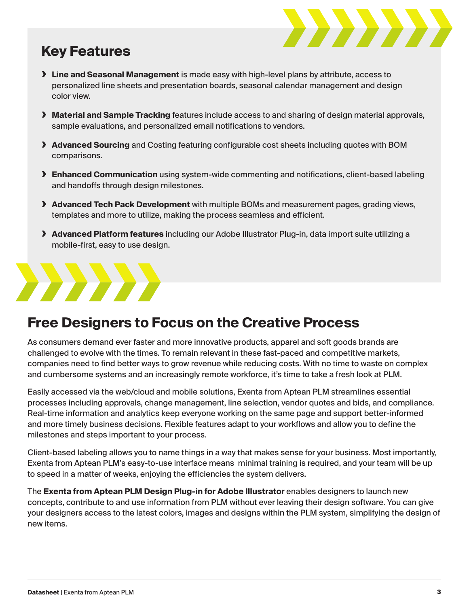

### **Key Features**

- **› Line and Seasonal Management** is made easy with high-level plans by attribute, access to personalized line sheets and presentation boards, seasonal calendar management and design color view.
- **› Material and Sample Tracking** features include access to and sharing of design material approvals, sample evaluations, and personalized email notifications to vendors.
- **› Advanced Sourcing** and Costing featuring configurable cost sheets including quotes with BOM comparisons.
- **› Enhanced Communication** using system-wide commenting and notifications, client-based labeling and handoffs through design milestones.
- **› Advanced Tech Pack Development** with multiple BOMs and measurement pages, grading views, templates and more to utilize, making the process seamless and efficient.
- **› Advanced Platform features** including our Adobe Illustrator Plug-in, data import suite utilizing a mobile-first, easy to use design.

#### **Free Designers to Focus on the Creative Process**

As consumers demand ever faster and more innovative products, apparel and soft goods brands are challenged to evolve with the times. To remain relevant in these fast-paced and competitive markets, companies need to find better ways to grow revenue while reducing costs. With no time to waste on complex and cumbersome systems and an increasingly remote workforce, it's time to take a fresh look at PLM.

Easily accessed via the web/cloud and mobile solutions, Exenta from Aptean PLM streamlines essential processes including approvals, change management, line selection, vendor quotes and bids, and compliance. Real-time information and analytics keep everyone working on the same page and support better-informed and more timely business decisions. Flexible features adapt to your workflows and allow you to define the milestones and steps important to your process.

Client-based labeling allows you to name things in a way that makes sense for your business. Most importantly, Exenta from Aptean PLM's easy-to-use interface means minimal training is required, and your team will be up to speed in a matter of weeks, enjoying the efficiencies the system delivers.

The **Exenta from Aptean PLM Design Plug-in for Adobe Illustrator** enables designers to launch new concepts, contribute to and use information from PLM without ever leaving their design software. You can give your designers access to the latest colors, images and designs within the PLM system, simplifying the design of new items.